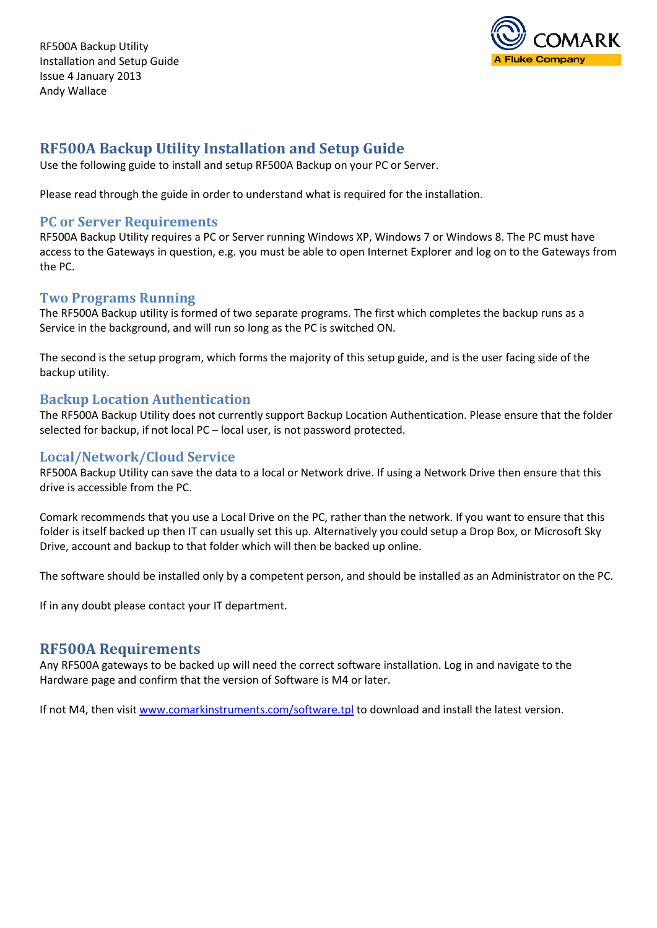RF500A Backup Utility Installation and Setup Guide Issue 4 January 2013 Andy Wallace



# **RF500A Backup Utility Installation and Setup Guide**

Use the following guide to install and setup RF500A Backup on your PC or Server.

Please read through the guide in order to understand what is required for the installation.

## **PC or Server Requirements**

RF500A Backup Utility requires a PC or Server running Windows XP, Windows 7 or Windows 8. The PC must have access to the Gateways in question, e.g. you must be able to open Internet Explorer and log on to the Gateways from the PC.

# **Two Programs Running**

The RF500A Backup utility is formed of two separate programs. The first which completes the backup runs as a Service in the background, and will run so long as the PC is switched ON.

The second is the setup program, which forms the majority of this setup guide, and is the user facing side of the backup utility.

# **Backup Location Authentication**

The RF500A Backup Utility does not currently support Backup Location Authentication. Please ensure that the folder selected for backup, if not local PC – local user, is not password protected.

# **Local/Network/Cloud Service**

RF500A Backup Utility can save the data to a local or Network drive. If using a Network Drive then ensure that this drive is accessible from the PC.

Comark recommends that you use a Local Drive on the PC, rather than the network. If you want to ensure that this folder is itself backed up then IT can usually set this up. Alternatively you could setup a Drop Box, or Microsoft Sky Drive, account and backup to that folder which will then be backed up online.

The software should be installed only by a competent person, and should be installed as an Administrator on the PC.

If in any doubt please contact your IT department.

# **RF500A Requirements**

Any RF500A gateways to be backed up will need the correct software installation. Log in and navigate to the Hardware page and confirm that the version of Software is M4 or later.

If not M4, then visit [www.comarkinstruments.com/software.tpl](http://www.comarkinstruments.com/software.tpl) to download and install the latest version.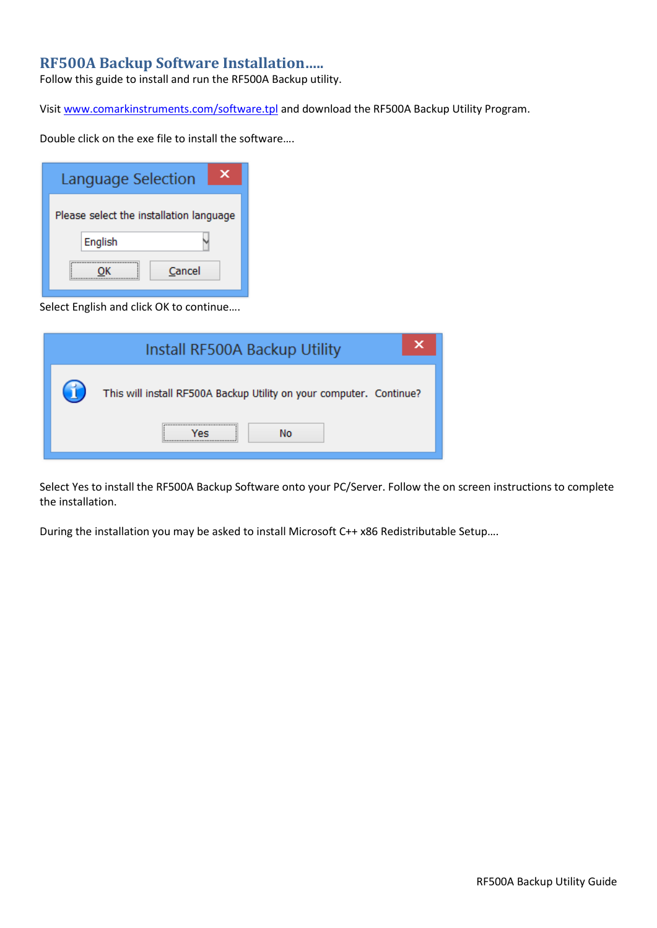# **RF500A Backup Software Installation…..**

Follow this guide to install and run the RF500A Backup utility.

Visit [www.comarkinstruments.com/software.tpl](http://www.comarkinstruments.com/software.tpl) and download the RF500A Backup Utility Program.

Double click on the exe file to install the software….

| Language Selection                      | x |
|-----------------------------------------|---|
| Please select the installation language |   |
| English                                 |   |
| Cancel                                  |   |

Select English and click OK to continue….

| Install RF500A Backup Utility                                       |
|---------------------------------------------------------------------|
| This will install RF500A Backup Utility on your computer. Continue? |
| Nο                                                                  |

Select Yes to install the RF500A Backup Software onto your PC/Server. Follow the on screen instructions to complete the installation.

During the installation you may be asked to install Microsoft C++ x86 Redistributable Setup….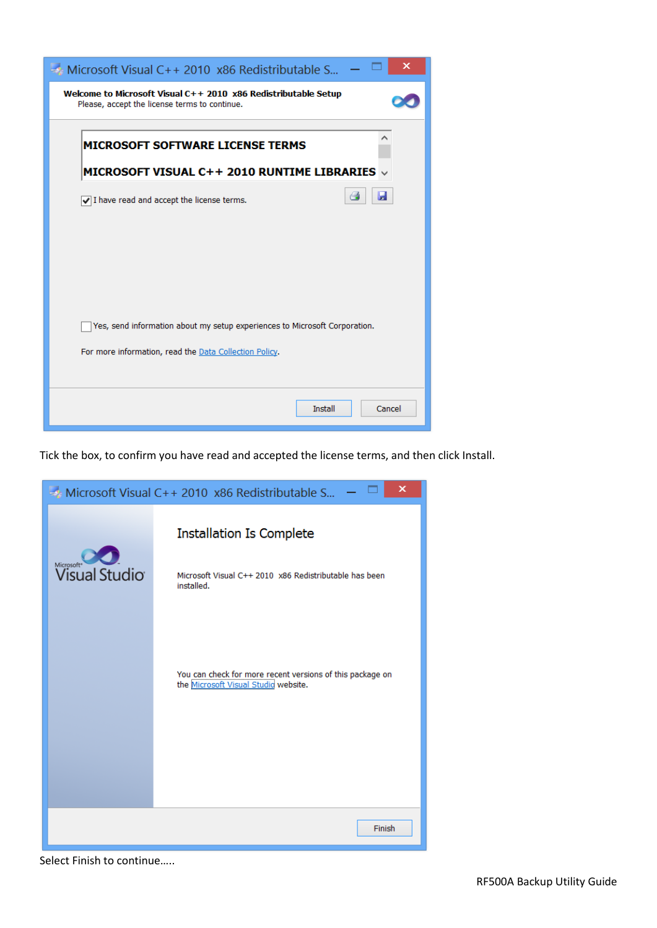| ×<br>$\rightarrow$ Microsoft Visual C++ 2010 x86 Redistributable S                                              |
|-----------------------------------------------------------------------------------------------------------------|
| Welcome to Microsoft Visual C++ 2010 x86 Redistributable Setup<br>Please, accept the license terms to continue. |
| <b>MICROSOFT SOFTWARE LICENSE TERMS</b>                                                                         |
| MICROSOFT VISUAL C++ 2010 RUNTIME LIBRARIES v                                                                   |
| a<br>ы<br>$\sqrt{}$ I have read and accept the license terms.                                                   |
|                                                                                                                 |
|                                                                                                                 |
|                                                                                                                 |
|                                                                                                                 |
| Yes, send information about my setup experiences to Microsoft Corporation.                                      |
| For more information, read the Data Collection Policy.                                                          |
|                                                                                                                 |
| <b>Install</b><br>Cancel                                                                                        |

Tick the box, to confirm you have read and accepted the license terms, and then click Install.



Select Finish to continue…..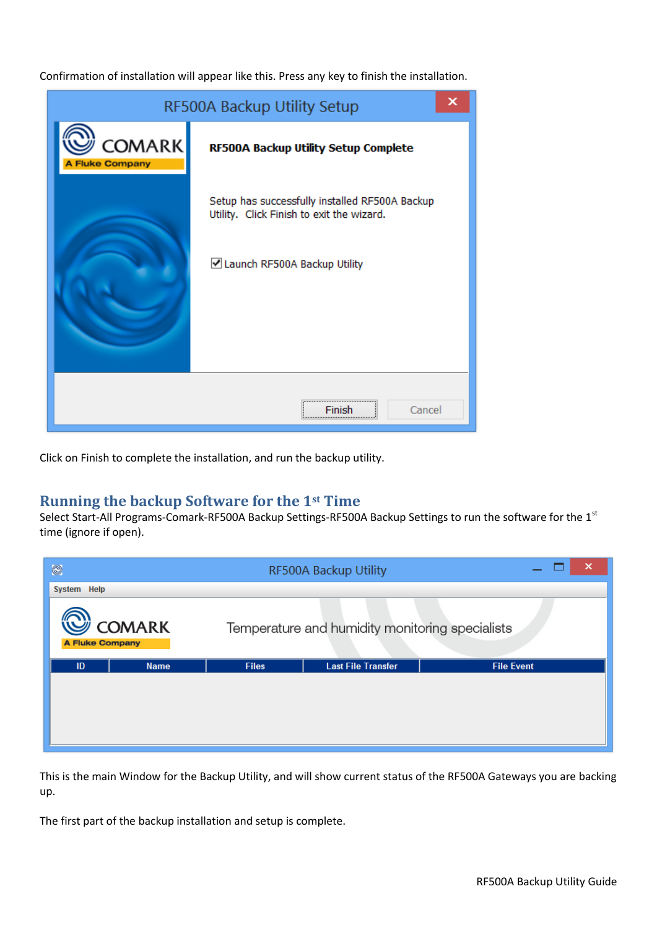Confirmation of installation will appear like this. Press any key to finish the installation.



Click on Finish to complete the installation, and run the backup utility.

# **Running the backup Software for the 1st Time**

Select Start-All Programs-Comark-RF500A Backup Settings-RF500A Backup Settings to run the software for the 1<sup>st</sup> time (ignore if open).



This is the main Window for the Backup Utility, and will show current status of the RF500A Gateways you are backing up.

The first part of the backup installation and setup is complete.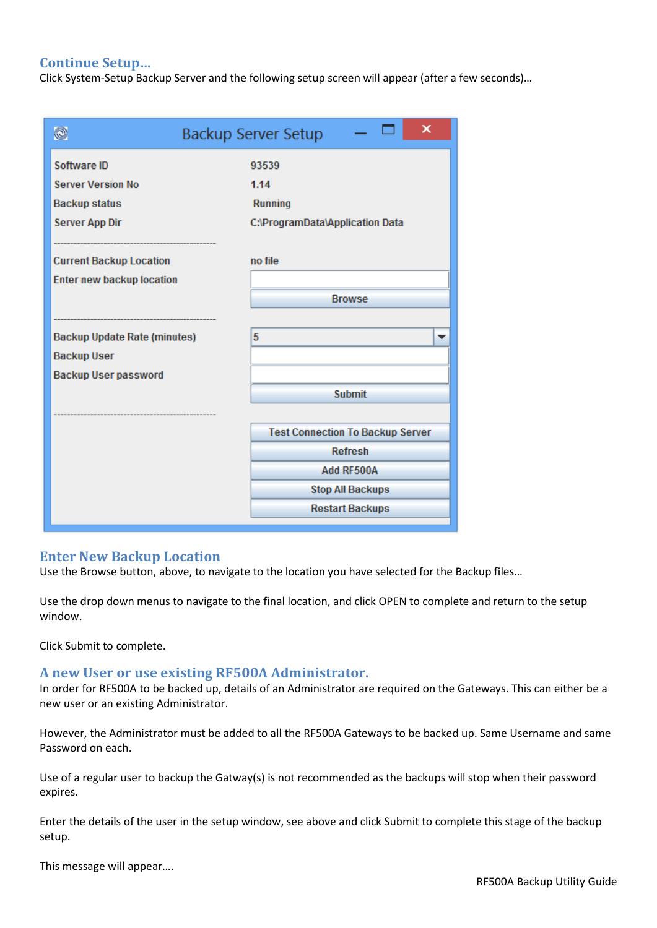## **Continue Setup…**

Click System-Setup Backup Server and the following setup screen will appear (after a few seconds)…

| O                                   | x<br><b>Backup Server Setup</b>         |
|-------------------------------------|-----------------------------------------|
| Software ID                         | 93539                                   |
| <b>Server Version No</b>            | 1.14                                    |
| <b>Backup status</b>                | <b>Running</b>                          |
| <b>Server App Dir</b>               | C:\ProgramData\Application Data         |
|                                     |                                         |
| <b>Current Backup Location</b>      | no file                                 |
| <b>Enter new backup location</b>    |                                         |
|                                     | <b>Browse</b>                           |
|                                     |                                         |
| <b>Backup Update Rate (minutes)</b> | 5<br>▼                                  |
| <b>Backup User</b>                  |                                         |
| <b>Backup User password</b>         |                                         |
|                                     | <b>Submit</b>                           |
|                                     |                                         |
|                                     | <b>Test Connection To Backup Server</b> |
|                                     | <b>Refresh</b>                          |
|                                     | Add RF500A                              |
|                                     | <b>Stop All Backups</b>                 |
|                                     | <b>Restart Backups</b>                  |

#### **Enter New Backup Location**

Use the Browse button, above, to navigate to the location you have selected for the Backup files…

Use the drop down menus to navigate to the final location, and click OPEN to complete and return to the setup window.

Click Submit to complete.

#### **A new User or use existing RF500A Administrator.**

In order for RF500A to be backed up, details of an Administrator are required on the Gateways. This can either be a new user or an existing Administrator.

However, the Administrator must be added to all the RF500A Gateways to be backed up. Same Username and same Password on each.

Use of a regular user to backup the Gatway(s) is not recommended as the backups will stop when their password expires.

Enter the details of the user in the setup window, see above and click Submit to complete this stage of the backup setup.

This message will appear….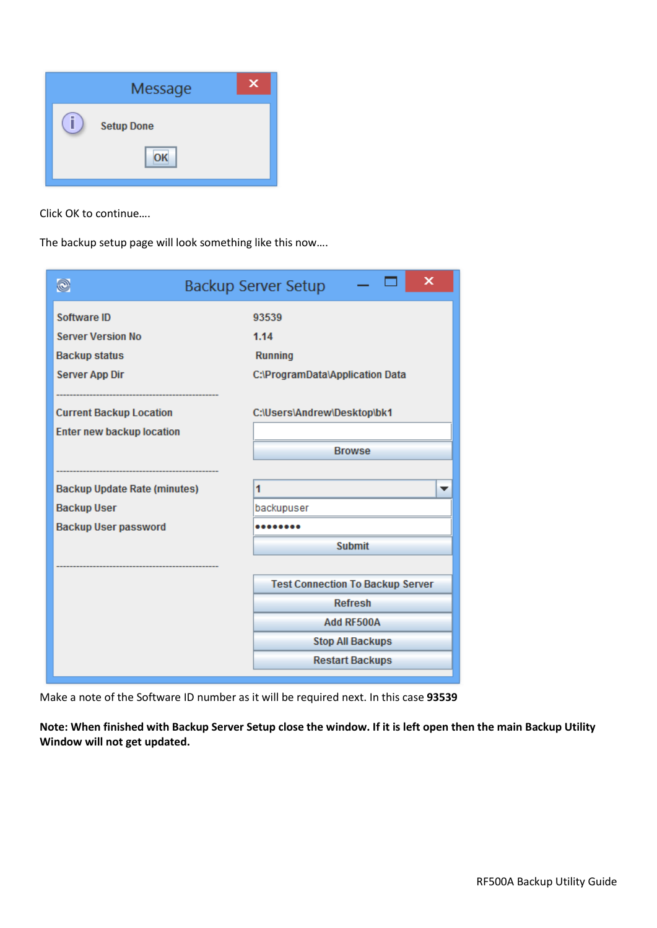

Click OK to continue….

The backup setup page will look something like this now….

| O                                   | ×<br><b>Backup Server Setup</b>         |
|-------------------------------------|-----------------------------------------|
| Software ID                         | 93539                                   |
| <b>Server Version No</b>            | 1.14                                    |
| <b>Backup status</b>                | <b>Running</b>                          |
| <b>Server App Dir</b>               | C:\ProgramData\Application Data         |
|                                     |                                         |
| <b>Current Backup Location</b>      | C:\Users\Andrew\Desktop\bk1             |
| <b>Enter new backup location</b>    |                                         |
|                                     | <b>Browse</b>                           |
|                                     |                                         |
| <b>Backup Update Rate (minutes)</b> | 1<br>▼                                  |
| <b>Backup User</b>                  | backupuser                              |
| <b>Backup User password</b>         |                                         |
|                                     | <b>Submit</b>                           |
|                                     |                                         |
|                                     | <b>Test Connection To Backup Server</b> |
|                                     | <b>Refresh</b>                          |
|                                     | Add RF500A                              |
|                                     | <b>Stop All Backups</b>                 |
|                                     | <b>Restart Backups</b>                  |

Make a note of the Software ID number as it will be required next. In this case **93539**

**Note: When finished with Backup Server Setup close the window. If it is left open then the main Backup Utility Window will not get updated.**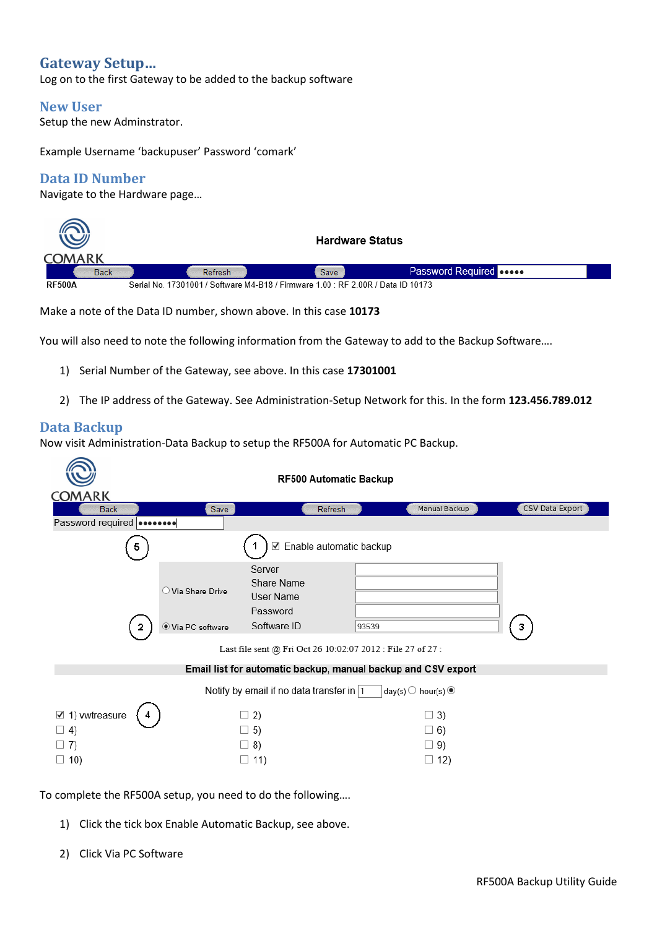# **Gateway Setup…**

Log on to the first Gateway to be added to the backup software

### **New User**

Setup the new Adminstrator.

Example Username 'backupuser' Password 'comark'

# **Data ID Number**

Navigate to the Hardware page…

|               |                                                                                  | <b>Hardware Status</b> |                               |
|---------------|----------------------------------------------------------------------------------|------------------------|-------------------------------|
| COMARK        |                                                                                  |                        |                               |
| <b>Back</b>   | Refresh                                                                          | Save                   | Password Required <b>poop</b> |
| <b>RF500A</b> | Serial No. 17301001 / Software M4-B18 / Firmware 1.00 : RF 2.00R / Data ID 10173 |                        |                               |

Make a note of the Data ID number, shown above. In this case **10173**

You will also need to note the following information from the Gateway to add to the Backup Software….

- 1) Serial Number of the Gateway, see above. In this case **17301001**
- 2) The IP address of the Gateway. See Administration-Setup Network for this. In the form **123.456.789.012**

## **Data Backup**

Now visit Administration-Data Backup to setup the RF500A for Automatic PC Backup.

|                                        |                            | RF500 Automatic Backup                                        |       |                                         |                        |
|----------------------------------------|----------------------------|---------------------------------------------------------------|-------|-----------------------------------------|------------------------|
| <b>COMARK</b>                          |                            |                                                               |       |                                         |                        |
| <b>Back</b>                            | Save                       | Refresh                                                       |       | <b>Manual Backup</b>                    | <b>CSV Data Export</b> |
| Password required                      |                            |                                                               |       |                                         |                        |
| ь                                      |                            | Enable automatic backup<br>✓                                  |       |                                         |                        |
|                                        | $\bigcirc$ Via Share Drive | Server<br>Share Name<br>User Name<br>Password                 |       |                                         |                        |
| 2                                      | ● Via PC software          | Software ID                                                   | 93539 |                                         | 3                      |
|                                        |                            | Last file sent @ Fri Oct 26 10:02:07 2012 : File 27 of 27 :   |       |                                         |                        |
|                                        |                            | Email list for automatic backup, manual backup and CSV export |       |                                         |                        |
|                                        |                            | Notify by email if no data transfer in 1                      |       | day(s) $\bigcirc$ hour(s) $\circledast$ |                        |
| $\boxtimes$ 1) vwtreasure<br>$\Box$ 4) |                            | $\Box$ 2)<br>$\Box$ 5)                                        |       | $\Box$ 3)<br>$\Box$ 6)                  |                        |
| $\Box$ 7)                              |                            | $\Box$ 8)                                                     |       | $\Box$ 9)                               |                        |
| $\Box$ 10)                             |                            | $\Box$ 11)                                                    |       | $\Box$ 12)                              |                        |

To complete the RF500A setup, you need to do the following….

- 1) Click the tick box Enable Automatic Backup, see above.
- 2) Click Via PC Software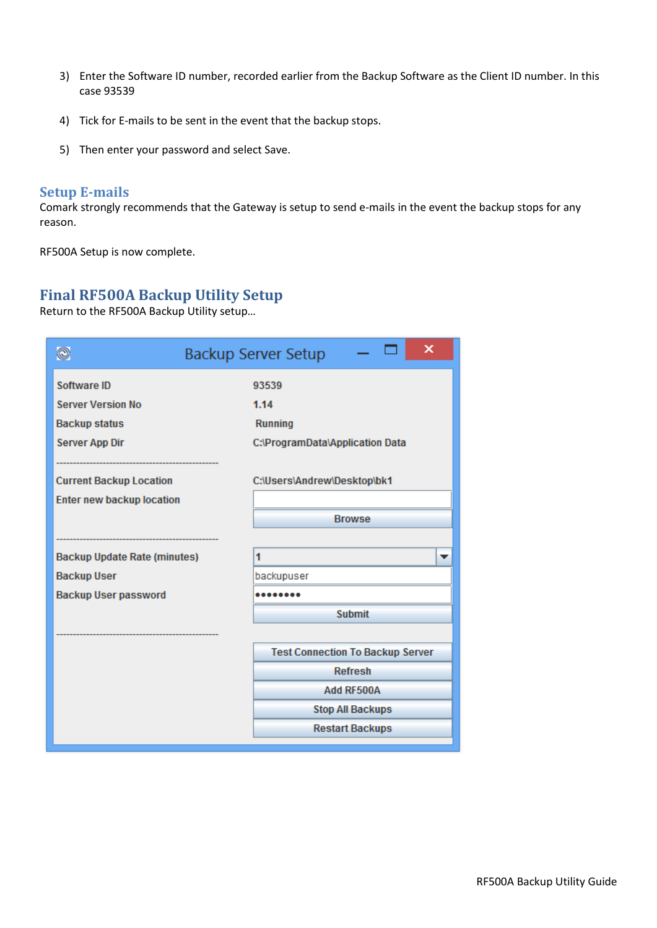- 3) Enter the Software ID number, recorded earlier from the Backup Software as the Client ID number. In this case 93539
- 4) Tick for E-mails to be sent in the event that the backup stops.
- 5) Then enter your password and select Save.

# **Setup E-mails**

Comark strongly recommends that the Gateway is setup to send e-mails in the event the backup stops for any reason.

RF500A Setup is now complete.

# **Final RF500A Backup Utility Setup**

Return to the RF500A Backup Utility setup…

| Q                                   | ×<br><b>Backup Server Setup</b>         |
|-------------------------------------|-----------------------------------------|
| Software ID                         | 93539                                   |
| <b>Server Version No</b>            | 1.14                                    |
| <b>Backup status</b>                | <b>Running</b>                          |
| <b>Server App Dir</b>               | C:\ProgramData\Application Data         |
|                                     |                                         |
| <b>Current Backup Location</b>      | C:\Users\Andrew\Desktop\bk1             |
| <b>Enter new backup location</b>    |                                         |
|                                     | <b>Browse</b>                           |
|                                     |                                         |
| <b>Backup Update Rate (minutes)</b> | 1<br>▼                                  |
| <b>Backup User</b>                  | backupuser                              |
| <b>Backup User password</b>         |                                         |
|                                     | <b>Submit</b>                           |
|                                     |                                         |
|                                     | <b>Test Connection To Backup Server</b> |
|                                     | <b>Refresh</b>                          |
|                                     | Add RF500A                              |
|                                     | <b>Stop All Backups</b>                 |
|                                     | <b>Restart Backups</b>                  |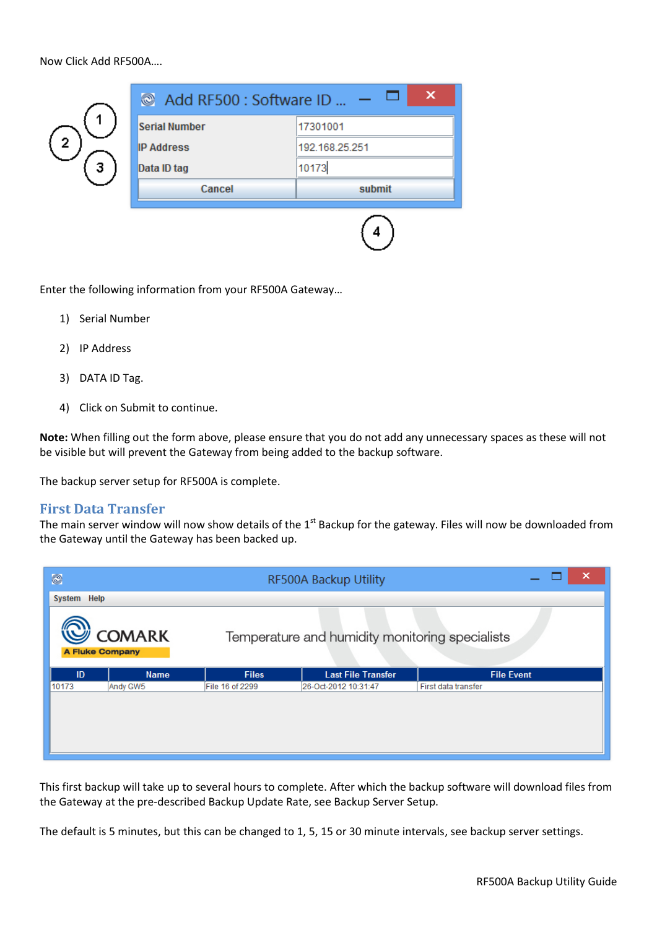Now Click Add RF500A….



Enter the following information from your RF500A Gateway…

- 1) Serial Number
- 2) IP Address
- 3) DATA ID Tag.
- 4) Click on Submit to continue.

**Note:** When filling out the form above, please ensure that you do not add any unnecessary spaces as these will not be visible but will prevent the Gateway from being added to the backup software.

The backup server setup for RF500A is complete.

#### **First Data Transfer**

The main server window will now show details of the  $1<sup>st</sup>$  Backup for the gateway. Files will now be downloaded from the Gateway until the Gateway has been backed up.

| O           |                                         | RF500A Backup Utility |                                                 |                     |
|-------------|-----------------------------------------|-----------------------|-------------------------------------------------|---------------------|
| System Help |                                         |                       |                                                 |                     |
|             | <b>COMARK</b><br><b>A Fluke Company</b> |                       | Temperature and humidity monitoring specialists |                     |
| ID          | <b>Name</b>                             | <b>Files</b>          | <b>Last File Transfer</b>                       | <b>File Event</b>   |
| 10173       | Andy GW5                                | File 16 of 2299       | 26-Oct-2012 10:31:47                            | First data transfer |
|             |                                         |                       |                                                 |                     |

This first backup will take up to several hours to complete. After which the backup software will download files from the Gateway at the pre-described Backup Update Rate, see Backup Server Setup.

The default is 5 minutes, but this can be changed to 1, 5, 15 or 30 minute intervals, see backup server settings.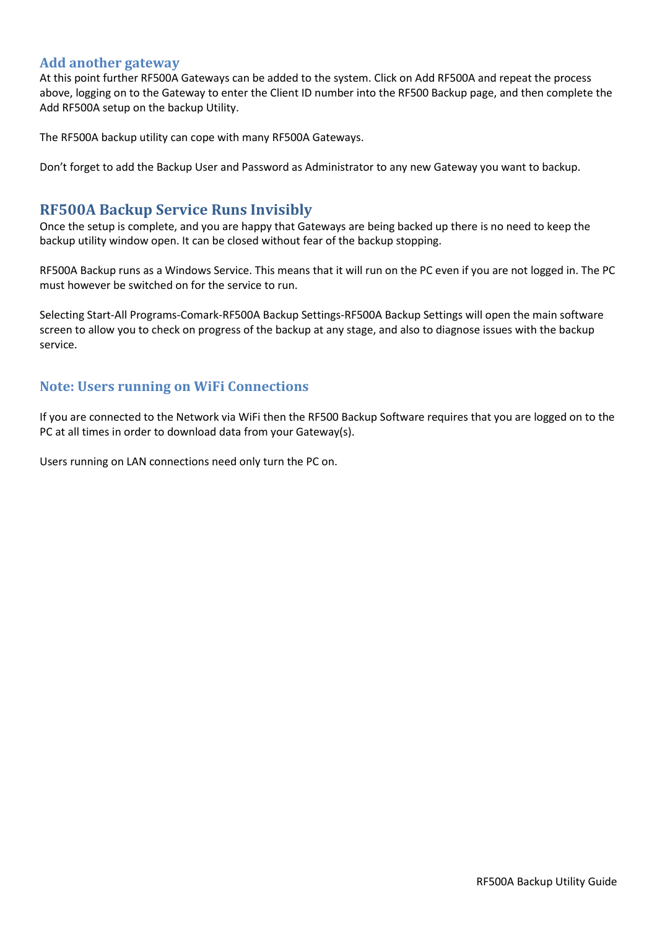### **Add another gateway**

At this point further RF500A Gateways can be added to the system. Click on Add RF500A and repeat the process above, logging on to the Gateway to enter the Client ID number into the RF500 Backup page, and then complete the Add RF500A setup on the backup Utility.

The RF500A backup utility can cope with many RF500A Gateways.

Don't forget to add the Backup User and Password as Administrator to any new Gateway you want to backup.

# **RF500A Backup Service Runs Invisibly**

Once the setup is complete, and you are happy that Gateways are being backed up there is no need to keep the backup utility window open. It can be closed without fear of the backup stopping.

RF500A Backup runs as a Windows Service. This means that it will run on the PC even if you are not logged in. The PC must however be switched on for the service to run.

Selecting Start-All Programs-Comark-RF500A Backup Settings-RF500A Backup Settings will open the main software screen to allow you to check on progress of the backup at any stage, and also to diagnose issues with the backup service.

# **Note: Users running on WiFi Connections**

If you are connected to the Network via WiFi then the RF500 Backup Software requires that you are logged on to the PC at all times in order to download data from your Gateway(s).

Users running on LAN connections need only turn the PC on.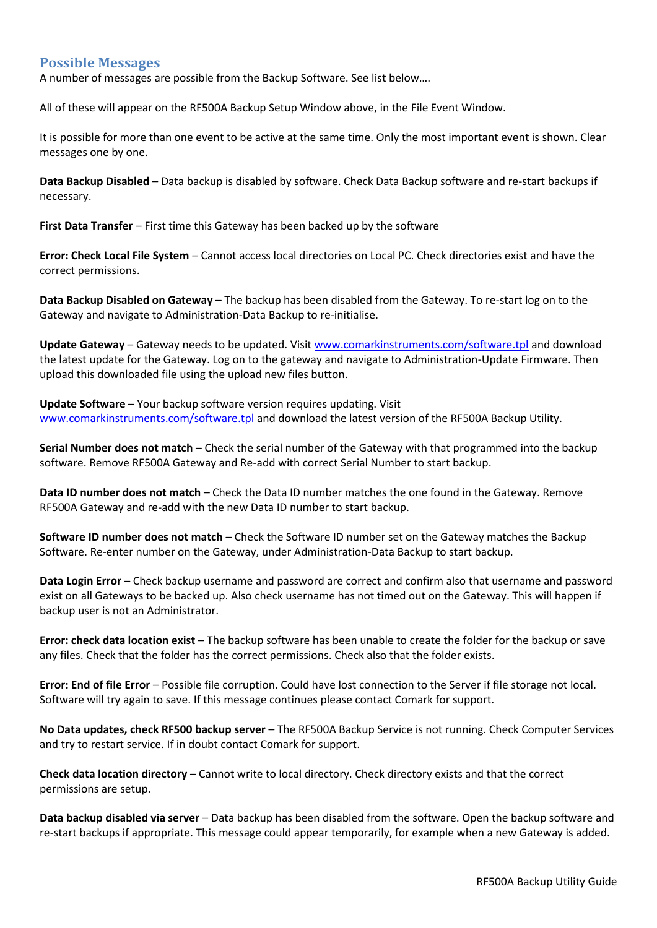### **Possible Messages**

A number of messages are possible from the Backup Software. See list below….

All of these will appear on the RF500A Backup Setup Window above, in the File Event Window.

It is possible for more than one event to be active at the same time. Only the most important event is shown. Clear messages one by one.

**Data Backup Disabled** – Data backup is disabled by software. Check Data Backup software and re-start backups if necessary.

**First Data Transfer** – First time this Gateway has been backed up by the software

**Error: Check Local File System** – Cannot access local directories on Local PC. Check directories exist and have the correct permissions.

**Data Backup Disabled on Gateway** – The backup has been disabled from the Gateway. To re-start log on to the Gateway and navigate to Administration-Data Backup to re-initialise.

**Update Gateway** – Gateway needs to be updated. Visit [www.comarkinstruments.com/software.tpl](http://www.comarkinstruments.com/software.tpl) and download the latest update for the Gateway. Log on to the gateway and navigate to Administration-Update Firmware. Then upload this downloaded file using the upload new files button.

**Update Software** – Your backup software version requires updating. Visit [www.comarkinstruments.com/software.tpl](http://www.comarkinstruments.com/software.tpl) and download the latest version of the RF500A Backup Utility.

**Serial Number does not match** – Check the serial number of the Gateway with that programmed into the backup software. Remove RF500A Gateway and Re-add with correct Serial Number to start backup.

**Data ID number does not match** – Check the Data ID number matches the one found in the Gateway. Remove RF500A Gateway and re-add with the new Data ID number to start backup.

**Software ID number does not match** – Check the Software ID number set on the Gateway matches the Backup Software. Re-enter number on the Gateway, under Administration-Data Backup to start backup.

**Data Login Error** – Check backup username and password are correct and confirm also that username and password exist on all Gateways to be backed up. Also check username has not timed out on the Gateway. This will happen if backup user is not an Administrator.

**Error: check data location exist** – The backup software has been unable to create the folder for the backup or save any files. Check that the folder has the correct permissions. Check also that the folder exists.

**Error: End of file Error** – Possible file corruption. Could have lost connection to the Server if file storage not local. Software will try again to save. If this message continues please contact Comark for support.

**No Data updates, check RF500 backup server** – The RF500A Backup Service is not running. Check Computer Services and try to restart service. If in doubt contact Comark for support.

**Check data location directory** – Cannot write to local directory. Check directory exists and that the correct permissions are setup.

**Data backup disabled via server** – Data backup has been disabled from the software. Open the backup software and re-start backups if appropriate. This message could appear temporarily, for example when a new Gateway is added.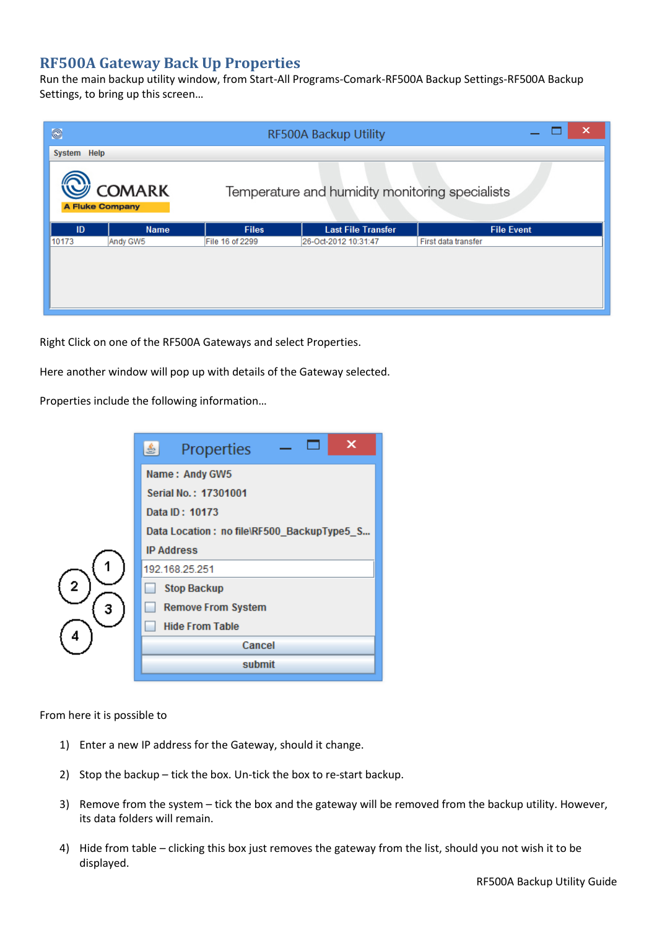# **RF500A Gateway Back Up Properties**

Run the main backup utility window, from Start-All Programs-Comark-RF500A Backup Settings-RF500A Backup Settings, to bring up this screen…

| $\circledcirc$         |               | ×<br>RF500A Backup Utility |                                                 |                     |  |
|------------------------|---------------|----------------------------|-------------------------------------------------|---------------------|--|
| System Help            |               |                            |                                                 |                     |  |
| <b>A Fluke Company</b> | <b>COMARK</b> |                            | Temperature and humidity monitoring specialists |                     |  |
|                        |               |                            |                                                 |                     |  |
| ID                     | <b>Name</b>   | <b>Files</b>               | <b>Last File Transfer</b>                       | <b>File Event</b>   |  |
| 10173                  | Andy GW5      | File 16 of 2299            | 26-Oct-2012 10:31:47                            | First data transfer |  |

Right Click on one of the RF500A Gateways and select Properties.

Here another window will pop up with details of the Gateway selected.

Properties include the following information…



From here it is possible to

- 1) Enter a new IP address for the Gateway, should it change.
- 2) Stop the backup tick the box. Un-tick the box to re-start backup.
- 3) Remove from the system tick the box and the gateway will be removed from the backup utility. However, its data folders will remain.
- 4) Hide from table clicking this box just removes the gateway from the list, should you not wish it to be displayed.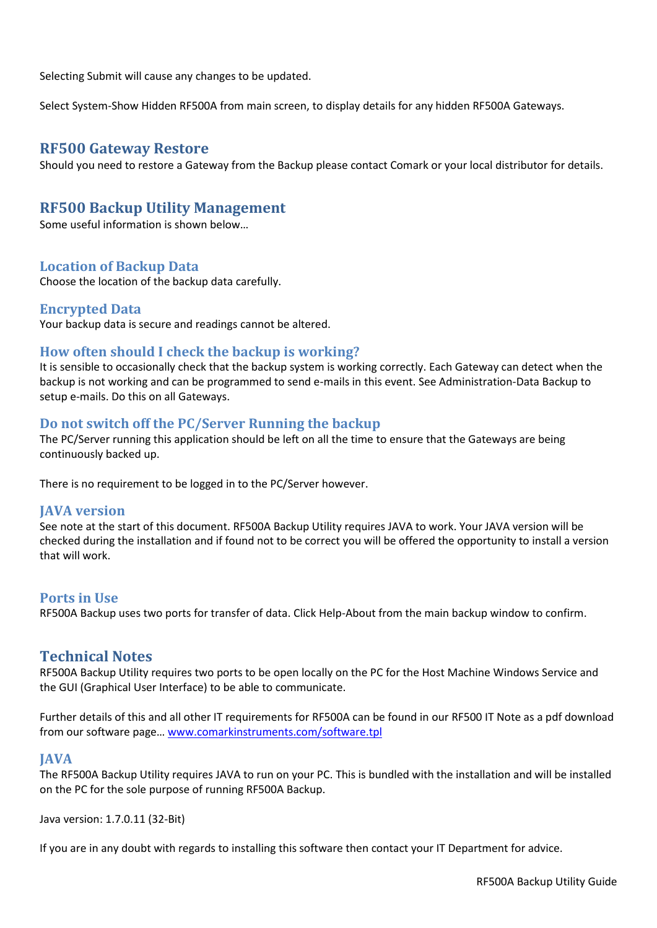Selecting Submit will cause any changes to be updated.

Select System-Show Hidden RF500A from main screen, to display details for any hidden RF500A Gateways.

## **RF500 Gateway Restore**

Should you need to restore a Gateway from the Backup please contact Comark or your local distributor for details.

# **RF500 Backup Utility Management**

Some useful information is shown below…

### **Location of Backup Data**

Choose the location of the backup data carefully.

#### **Encrypted Data**

Your backup data is secure and readings cannot be altered.

### **How often should I check the backup is working?**

It is sensible to occasionally check that the backup system is working correctly. Each Gateway can detect when the backup is not working and can be programmed to send e-mails in this event. See Administration-Data Backup to setup e-mails. Do this on all Gateways.

#### **Do not switch off the PC/Server Running the backup**

The PC/Server running this application should be left on all the time to ensure that the Gateways are being continuously backed up.

There is no requirement to be logged in to the PC/Server however.

#### **JAVA version**

See note at the start of this document. RF500A Backup Utility requires JAVA to work. Your JAVA version will be checked during the installation and if found not to be correct you will be offered the opportunity to install a version that will work.

### **Ports in Use**

RF500A Backup uses two ports for transfer of data. Click Help-About from the main backup window to confirm.

## **Technical Notes**

RF500A Backup Utility requires two ports to be open locally on the PC for the Host Machine Windows Service and the GUI (Graphical User Interface) to be able to communicate.

Further details of this and all other IT requirements for RF500A can be found in our RF500 IT Note as a pdf download from our software page… [www.comarkinstruments.com/software.tpl](http://www.comarkinstruments.com/software.tpl)

#### **JAVA**

The RF500A Backup Utility requires JAVA to run on your PC. This is bundled with the installation and will be installed on the PC for the sole purpose of running RF500A Backup.

Java version: 1.7.0.11 (32-Bit)

If you are in any doubt with regards to installing this software then contact your IT Department for advice.